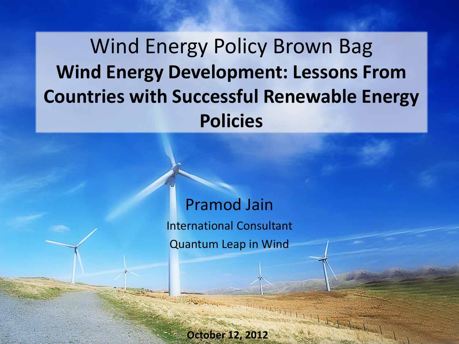Wind Energy Policy Brown Bag **Wind Energy Development: Lessons From Countries with Successful Renewable Energy Policies**

> Pramod Jain International Consultant Quantum Leap in Wind

> > **October 12, 2012**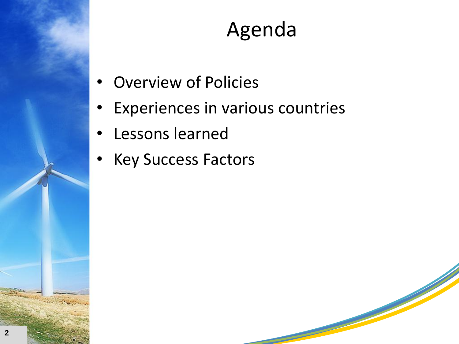

#### Agenda

- **Overview of Policies**
- Experiences in various countries
- Lessons learned
- Key Success Factors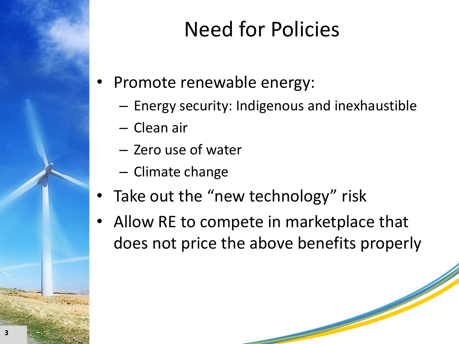# Need for Policies

- Promote renewable energy:
	- Energy security: Indigenous and inexhaustible
	- Clean air
	- Zero use of water
	- Climate change
- Take out the "new technology" risk
- Allow RE to compete in marketplace that does not price the above benefits properly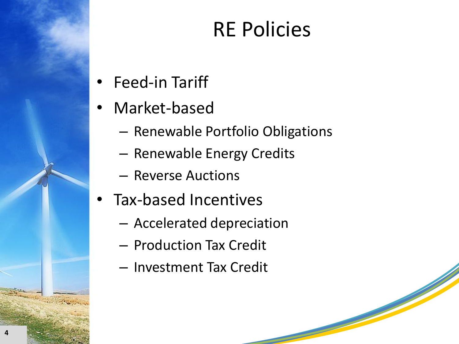#### RE Policies

- Feed-in Tariff
- Market-based
	- Renewable Portfolio Obligations
	- Renewable Energy Credits
	- Reverse Auctions
- Tax-based Incentives
	- Accelerated depreciation
	- Production Tax Credit
	- Investment Tax Credit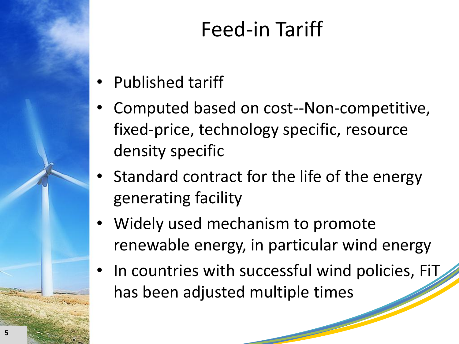# Feed-in Tariff

- Published tariff
- Computed based on cost--Non-competitive, fixed-price, technology specific, resource density specific
- Standard contract for the life of the energy generating facility
- Widely used mechanism to promote renewable energy, in particular wind energy
- In countries with successful wind policies, FiT has been adjusted multiple times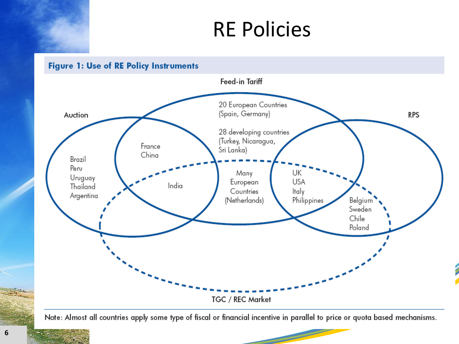#### RE Policies



Note: Almost all countries apply some type of fiscal or financial incentive in parallel to price or quota based mechanisms.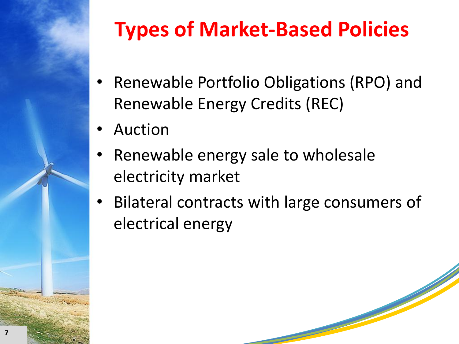

# **Types of Market-Based Policies**

- Renewable Portfolio Obligations (RPO) and Renewable Energy Credits (REC)
- **Auction**
- Renewable energy sale to wholesale electricity market
- Bilateral contracts with large consumers of electrical energy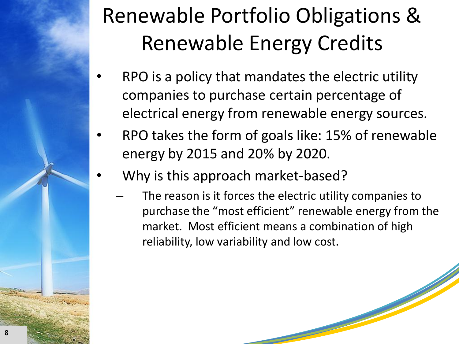# Renewable Portfolio Obligations & Renewable Energy Credits

- RPO is a policy that mandates the electric utility companies to purchase certain percentage of electrical energy from renewable energy sources.
- RPO takes the form of goals like: 15% of renewable energy by 2015 and 20% by 2020.
- Why is this approach market-based?
	- The reason is it forces the electric utility companies to purchase the "most efficient" renewable energy from the market. Most efficient means a combination of high reliability, low variability and low cost.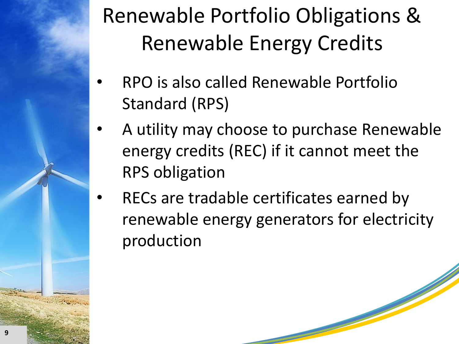# Renewable Portfolio Obligations & Renewable Energy Credits

- RPO is also called Renewable Portfolio Standard (RPS)
- A utility may choose to purchase Renewable energy credits (REC) if it cannot meet the RPS obligation
- RECs are tradable certificates earned by renewable energy generators for electricity production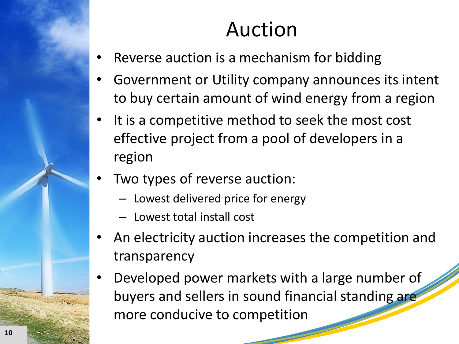#### Auction

- Reverse auction is a mechanism for bidding
- Government or Utility company announces its intent to buy certain amount of wind energy from a region
- It is a competitive method to seek the most cost effective project from a pool of developers in a region
- Two types of reverse auction:
	- Lowest delivered price for energy
	- Lowest total install cost
- An electricity auction increases the competition and transparency
- Developed power markets with a large number of buyers and sellers in sound financial standing are more conducive to competition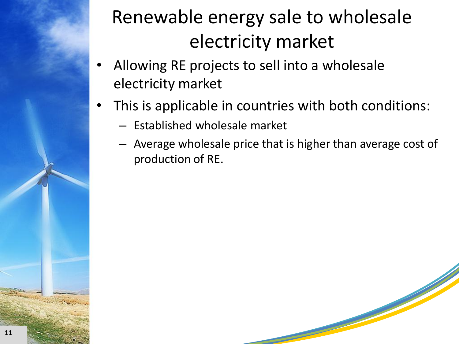#### Renewable energy sale to wholesale electricity market

- Allowing RE projects to sell into a wholesale electricity market
- This is applicable in countries with both conditions:
	- Established wholesale market
	- Average wholesale price that is higher than average cost of production of RE.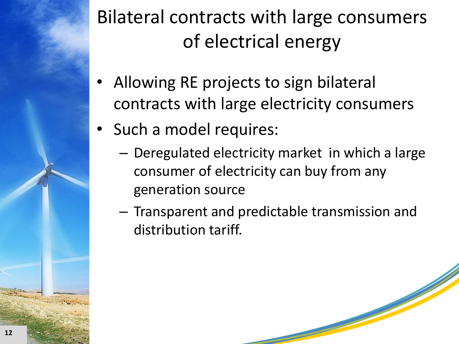#### Bilateral contracts with large consumers of electrical energy

- Allowing RE projects to sign bilateral contracts with large electricity consumers
- Such a model requires:
	- Deregulated electricity market in which a large consumer of electricity can buy from any generation source
	- Transparent and predictable transmission and distribution tariff.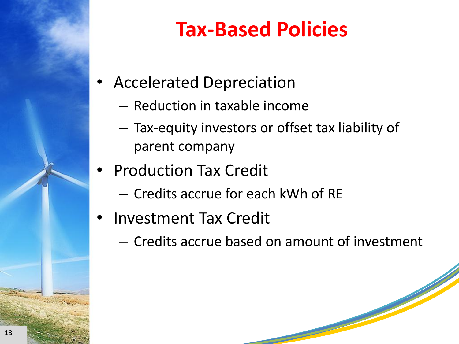# **Tax-Based Policies**

- Accelerated Depreciation
	- Reduction in taxable income
	- Tax-equity investors or offset tax liability of parent company
- Production Tax Credit
	- Credits accrue for each kWh of RE
- Investment Tax Credit
	- Credits accrue based on amount of investment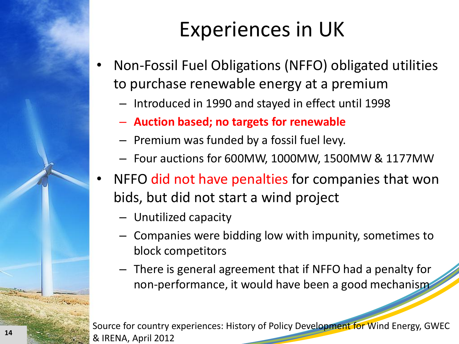#### Experiences in UK

- Non-Fossil Fuel Obligations (NFFO) obligated utilities to purchase renewable energy at a premium
	- Introduced in 1990 and stayed in effect until 1998
	- **Auction based; no targets for renewable**
	- Premium was funded by a fossil fuel levy.
	- Four auctions for 600MW, 1000MW, 1500MW & 1177MW
- NFFO did not have penalties for companies that won bids, but did not start a wind project
	- Unutilized capacity
	- Companies were bidding low with impunity, sometimes to block competitors
	- There is general agreement that if NFFO had a penalty for non-performance, it would have been a good mechanism

Source for country experiences: History of Policy Development for Wind Energy, GWEC & IRENA, April 2012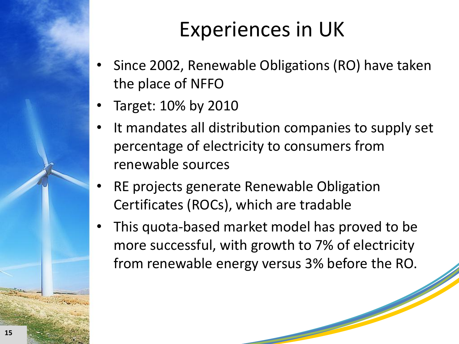#### Experiences in UK

- Since 2002, Renewable Obligations (RO) have taken the place of NFFO
- Target: 10% by 2010
- It mandates all distribution companies to supply set percentage of electricity to consumers from renewable sources
- RE projects generate Renewable Obligation Certificates (ROCs), which are tradable
- This quota-based market model has proved to be more successful, with growth to 7% of electricity from renewable energy versus 3% before the RO.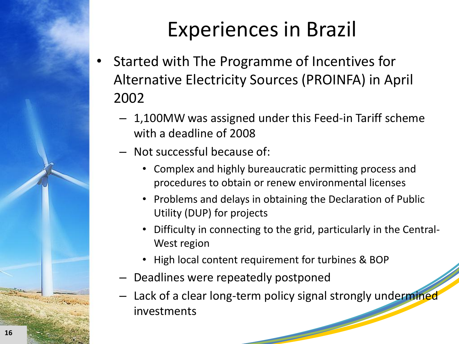# Experiences in Brazil

- Started with The Programme of Incentives for Alternative Electricity Sources (PROINFA) in April 2002
	- 1,100MW was assigned under this Feed-in Tariff scheme with a deadline of 2008
	- Not successful because of:
		- Complex and highly bureaucratic permitting process and procedures to obtain or renew environmental licenses
		- Problems and delays in obtaining the Declaration of Public Utility (DUP) for projects
		- Difficulty in connecting to the grid, particularly in the Central-West region
		- High local content requirement for turbines & BOP
	- Deadlines were repeatedly postponed
	- Lack of a clear long-term policy signal strongly undermined investments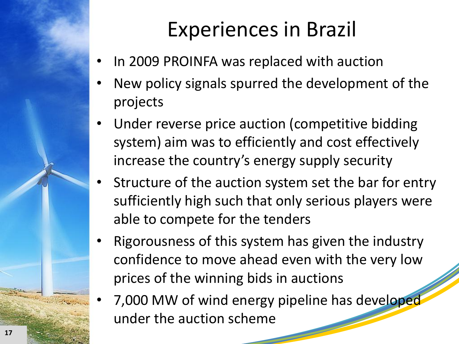# Experiences in Brazil

- In 2009 PROINFA was replaced with auction
- New policy signals spurred the development of the projects
- Under reverse price auction (competitive bidding system) aim was to efficiently and cost effectively increase the country's energy supply security
- Structure of the auction system set the bar for entry sufficiently high such that only serious players were able to compete for the tenders
- Rigorousness of this system has given the industry confidence to move ahead even with the very low prices of the winning bids in auctions
- 7,000 MW of wind energy pipeline has developed under the auction scheme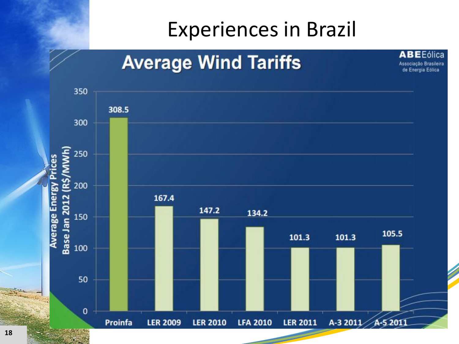#### Experiences in Brazil

**ABEEólica** 

Associação Brasileira de Energia Eólica

#### **Average Wind Tariffs**

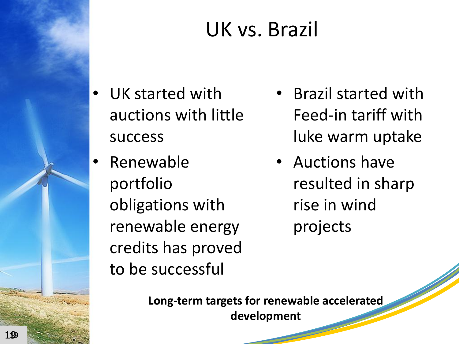# UK vs. Brazil

- UK started with auctions with little success
	- Renewable portfolio obligations with renewable energy credits has proved to be successful
- Brazil started with Feed-in tariff with luke warm uptake
- Auctions have resulted in sharp rise in wind projects

**Long-term targets for renewable accelerated development**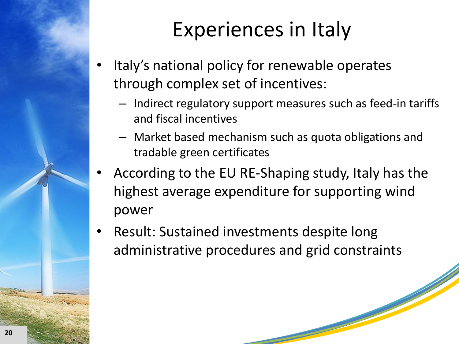# Experiences in Italy

- Italy's national policy for renewable operates through complex set of incentives:
	- Indirect regulatory support measures such as feed-in tariffs and fiscal incentives
	- Market based mechanism such as quota obligations and tradable green certificates
- According to the EU RE-Shaping study, Italy has the highest average expenditure for supporting wind power
- Result: Sustained investments despite long administrative procedures and grid constraints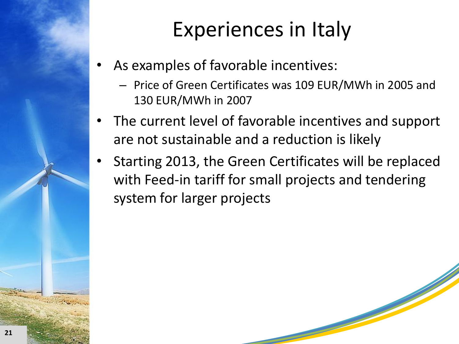### Experiences in Italy

- As examples of favorable incentives:
	- Price of Green Certificates was 109 EUR/MWh in 2005 and 130 EUR/MWh in 2007
- The current level of favorable incentives and support are not sustainable and a reduction is likely
- Starting 2013, the Green Certificates will be replaced with Feed-in tariff for small projects and tendering system for larger projects

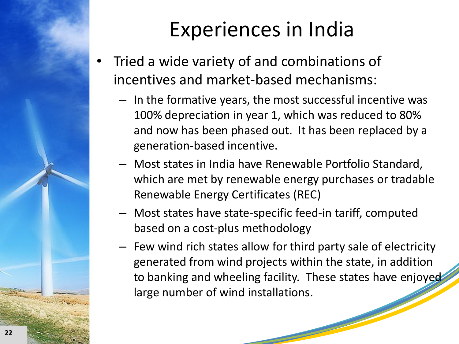

### Experiences in India

- Tried a wide variety of and combinations of incentives and market-based mechanisms:
	- In the formative years, the most successful incentive was 100% depreciation in year 1, which was reduced to 80% and now has been phased out. It has been replaced by a generation-based incentive.
	- Most states in India have Renewable Portfolio Standard, which are met by renewable energy purchases or tradable Renewable Energy Certificates (REC)
	- Most states have state-specific feed-in tariff, computed based on a cost-plus methodology
	- Few wind rich states allow for third party sale of electricity generated from wind projects within the state, in addition to banking and wheeling facility. These states have enjoyed large number of wind installations.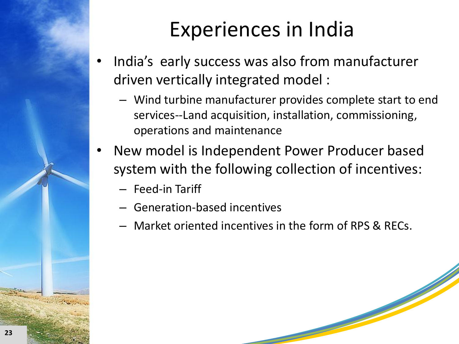

# Experiences in India

- India's early success was also from manufacturer driven vertically integrated model :
	- Wind turbine manufacturer provides complete start to end services--Land acquisition, installation, commissioning, operations and maintenance
- New model is Independent Power Producer based system with the following collection of incentives:
	- Feed-in Tariff
	- Generation-based incentives
	- Market oriented incentives in the form of RPS & RECs.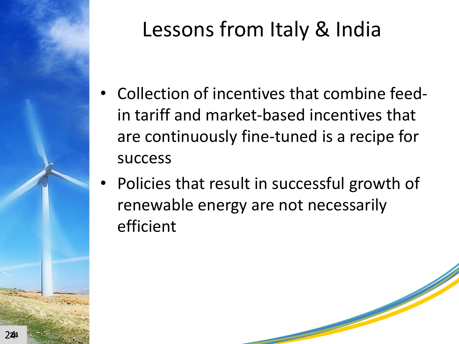

# Lessons from Italy & India

- Collection of incentives that combine feedin tariff and market-based incentives that are continuously fine-tuned is a recipe for success
- Policies that result in successful growth of renewable energy are not necessarily efficient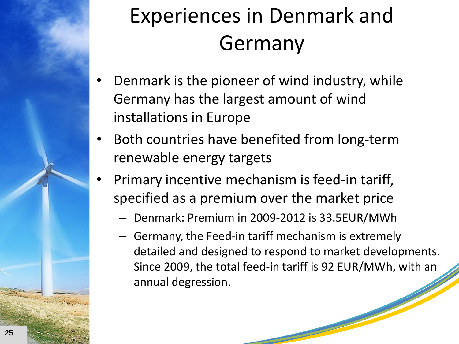

# Experiences in Denmark and Germany

- Denmark is the pioneer of wind industry, while Germany has the largest amount of wind installations in Europe
- Both countries have benefited from long-term renewable energy targets
- Primary incentive mechanism is feed-in tariff, specified as a premium over the market price
	- Denmark: Premium in 2009-2012 is 33.5EUR/MWh
	- Germany, the Feed-in tariff mechanism is extremely detailed and designed to respond to market developments. Since 2009, the total feed-in tariff is 92 EUR/MWh, with an annual degression.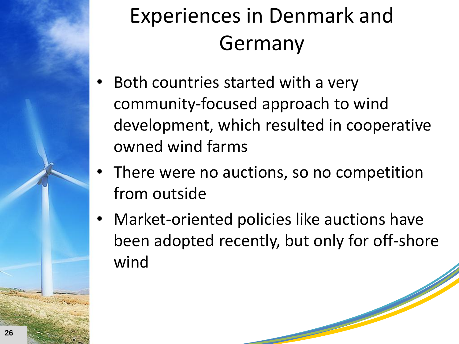

# Experiences in Denmark and Germany

- Both countries started with a very community-focused approach to wind development, which resulted in cooperative owned wind farms
- There were no auctions, so no competition from outside
- Market-oriented policies like auctions have been adopted recently, but only for off-shore wind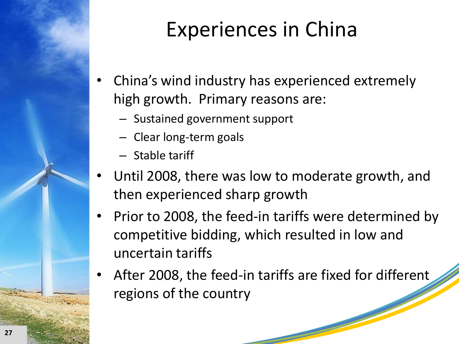

# Experiences in China

- China's wind industry has experienced extremely high growth. Primary reasons are:
	- Sustained government support
	- Clear long-term goals
	- Stable tariff
- Until 2008, there was low to moderate growth, and then experienced sharp growth
- Prior to 2008, the feed-in tariffs were determined by competitive bidding, which resulted in low and uncertain tariffs
- After 2008, the feed-in tariffs are fixed for different regions of the country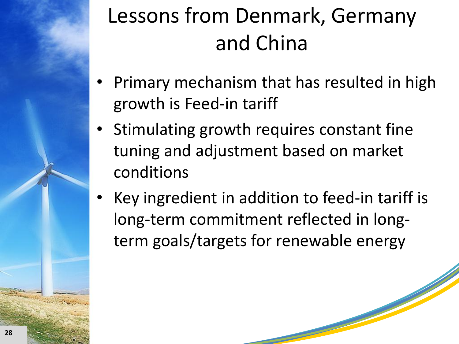# Lessons from Denmark, Germany and China

- Primary mechanism that has resulted in high growth is Feed-in tariff
- Stimulating growth requires constant fine tuning and adjustment based on market conditions
- Key ingredient in addition to feed-in tariff is long-term commitment reflected in longterm goals/targets for renewable energy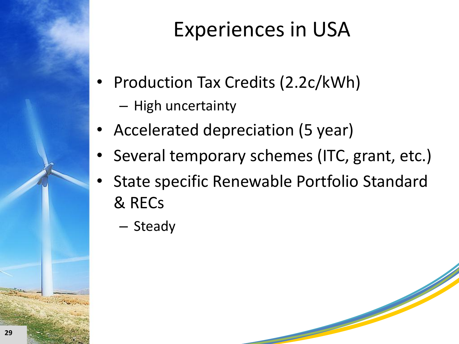# Experiences in USA

- Production Tax Credits (2.2c/kWh)
	- High uncertainty
- Accelerated depreciation (5 year)
- Several temporary schemes (ITC, grant, etc.)
- State specific Renewable Portfolio Standard & RECs
	- Steady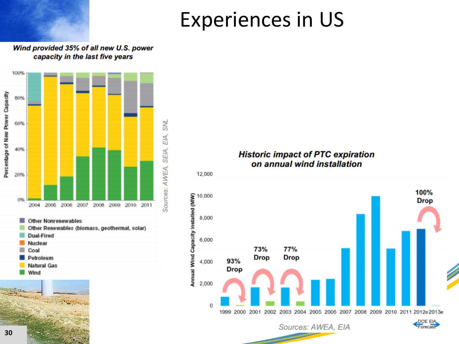#### Experiences in US

#### Wind provided 35% of all new U.S. power capacity in the last five years



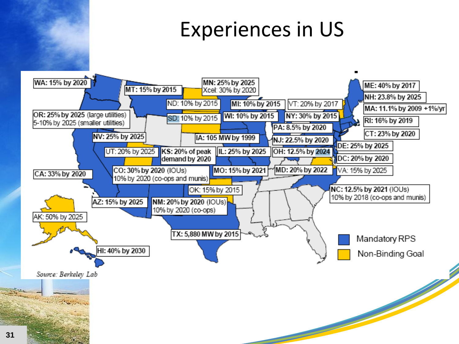#### Experiences in US

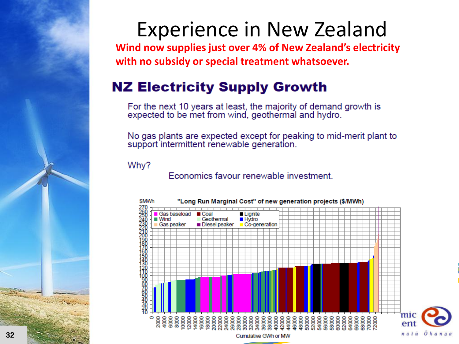

#### Experience in New Zealand

**Wind now supplies just over 4% of New Zealand's electricity with no subsidy or special treatment whatsoever.**

#### **NZ Electricity Supply Growth**

For the next 10 years at least, the majority of demand growth is expected to be met from wind, geothermal and hydro.

No gas plants are expected except for peaking to mid-merit plant to support intermittent renewable generation.

Why?

Economics favour renewable investment.

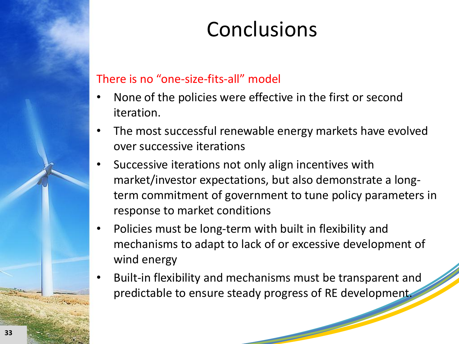#### **Conclusions**

#### There is no "one-size-fits-all" model

- None of the policies were effective in the first or second iteration.
- The most successful renewable energy markets have evolved over successive iterations
- Successive iterations not only align incentives with market/investor expectations, but also demonstrate a longterm commitment of government to tune policy parameters in response to market conditions
- Policies must be long-term with built in flexibility and mechanisms to adapt to lack of or excessive development of wind energy
- Built-in flexibility and mechanisms must be transparent and predictable to ensure steady progress of RE development.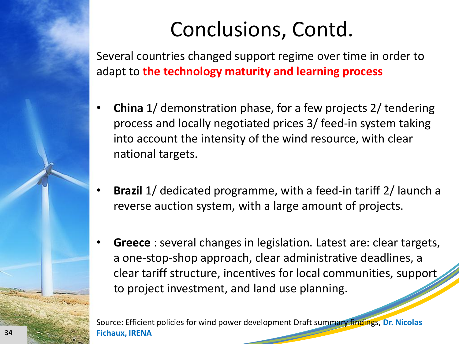Several countries changed support regime over time in order to adapt to **the technology maturity and learning process**

- **China** 1/ demonstration phase, for a few projects 2/ tendering process and locally negotiated prices 3/ feed-in system taking into account the intensity of the wind resource, with clear national targets.
- **Brazil** 1/ dedicated programme, with a feed-in tariff 2/ launch a reverse auction system, with a large amount of projects.
- **Greece** : several changes in legislation. Latest are: clear targets, a one-stop-shop approach, clear administrative deadlines, a clear tariff structure, incentives for local communities, support to project investment, and land use planning.

Source: Efficient policies for wind power development Draft summary findings, **Dr. Nicolas Fichaux, IRENA**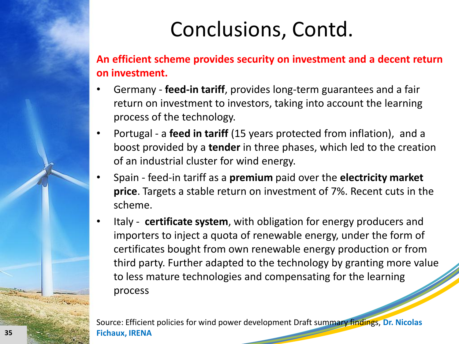**An efficient scheme provides security on investment and a decent return on investment.**

- Germany **feed-in tariff**, provides long-term guarantees and a fair return on investment to investors, taking into account the learning process of the technology.
- Portugal a **feed in tariff** (15 years protected from inflation), and a boost provided by a **tender** in three phases, which led to the creation of an industrial cluster for wind energy.
- Spain feed-in tariff as a **premium** paid over the **electricity market price**. Targets a stable return on investment of 7%. Recent cuts in the scheme.
- Italy **certificate system**, with obligation for energy producers and importers to inject a quota of renewable energy, under the form of certificates bought from own renewable energy production or from third party. Further adapted to the technology by granting more value to less mature technologies and compensating for the learning process

Source: Efficient policies for wind power development Draft summary findings, **Dr. Nicolas Fichaux, IRENA**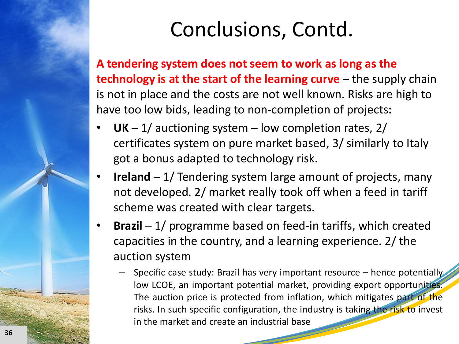**A tendering system does not seem to work as long as the technology is at the start of the learning curve** – the supply chain is not in place and the costs are not well known. Risks are high to have too low bids, leading to non-completion of projects**:**

- **UK** 1/ auctioning system low completion rates,  $2/$ certificates system on pure market based, 3/ similarly to Italy got a bonus adapted to technology risk.
- **Ireland** 1/ Tendering system large amount of projects, many not developed. 2/ market really took off when a feed in tariff scheme was created with clear targets.
- **Brazil**  1/ programme based on feed-in tariffs, which created capacities in the country, and a learning experience. 2/ the auction system
	- Specific case study: Brazil has very important resource hence potentially low LCOE, an important potential market, providing export opportunities. The auction price is protected from inflation, which mitigates part of the risks. In such specific configuration, the industry is taking the risk to invest in the market and create an industrial base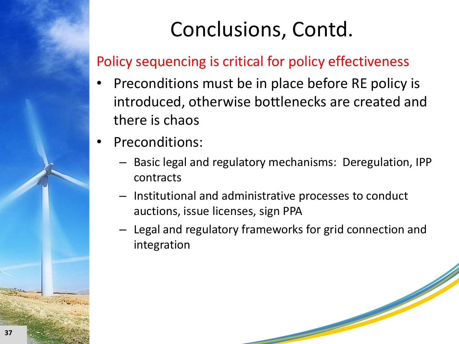#### Policy sequencing is critical for policy effectiveness

- Preconditions must be in place before RE policy is introduced, otherwise bottlenecks are created and there is chaos
- Preconditions:
	- Basic legal and regulatory mechanisms: Deregulation, IPP contracts
	- Institutional and administrative processes to conduct auctions, issue licenses, sign PPA
	- Legal and regulatory frameworks for grid connection and integration